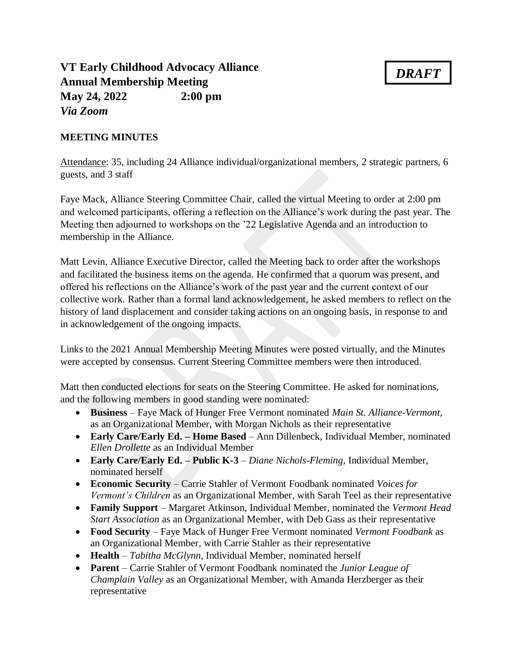## **VT Early Childhood Advocacy Alliance Annual Membership Meeting May 24, 2022 2:00 pm** *Via Zoom*

## *DRAFT*

## **MEETING MINUTES**

Attendance: 35, including 24 Alliance individual/organizational members, 2 strategic partners, 6 guests, and 3 staff

Faye Mack, Alliance Steering Committee Chair, called the virtual Meeting to order at 2:00 pm and welcomed participants, offering a reflection on the Alliance's work during the past year. The Meeting then adjourned to workshops on the '22 Legislative Agenda and an introduction to membership in the Alliance.

Matt Levin, Alliance Executive Director, called the Meeting back to order after the workshops and facilitated the business items on the agenda. He confirmed that a quorum was present, and offered his reflections on the Alliance's work of the past year and the current context of our collective work. Rather than a formal land acknowledgement, he asked members to reflect on the history of land displacement and consider taking actions on an ongoing basis, in response to and in acknowledgement of the ongoing impacts.

Links to the 2021 Annual Membership Meeting Minutes were posted virtually, and the Minutes were accepted by consensus. Current Steering Committee members were then introduced.

Matt then conducted elections for seats on the Steering Committee. He asked for nominations, and the following members in good standing were nominated:

- **Business** Faye Mack of Hunger Free Vermont nominated *Main St. Alliance-Vermont*, as an Organizational Member, with Morgan Nichols as their representative
- **Early Care/Early Ed. – Home Based** Ann Dillenbeck, Individual Member, nominated *Ellen Drollette* as an Individual Member
- **Early Care/Early Ed. – Public K-3**  *Diane Nichols-Fleming*, Individual Member, nominated herself
- **Economic Security** Carrie Stahler of Vermont Foodbank nominated *Voices for Vermont's Children* as an Organizational Member, with Sarah Teel as their representative
- **Family Support** Margaret Atkinson, Individual Member, nominated the *Vermont Head Start Association* as an Organizational Member, with Deb Gass as their representative
- **Food Security** Faye Mack of Hunger Free Vermont nominated *Vermont Foodbank* as an Organizational Member, with Carrie Stahler as their representative
- **Health** *Tabitha McGlynn*, Individual Member, nominated herself
- **Parent** Carrie Stahler of Vermont Foodbank nominated the *Junior League of Champlain Valley* as an Organizational Member, with Amanda Herzberger as their representative